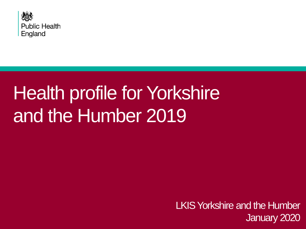

# Health profile for Yorkshire and the Humber 2019

LKIS Yorkshire and the Humber January 2020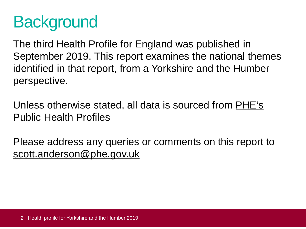# **Background**

The third Health Profile for England was published in September 2019. This report examines the national themes identified in that report, from a Yorkshire and the Humber perspective.

[Unless otherwise stated, all data is sourced from PHE's](https://fingertips.phe.org.uk/) Public Health Profiles

Please address any queries or comments on this report to [scott.anderson@phe.gov.uk](mailto:scott.anderson@phe.gov.uk)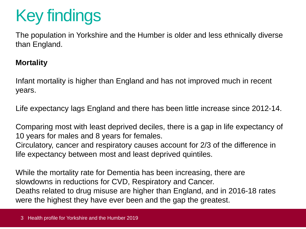# Key findings

The population in Yorkshire and the Humber is older and less ethnically diverse than England.

#### **Mortality**

Infant mortality is higher than England and has not improved much in recent years.

Life expectancy lags England and there has been little increase since 2012-14.

Comparing most with least deprived deciles, there is a gap in life expectancy of 10 years for males and 8 years for females. Circulatory, cancer and respiratory causes account for 2/3 of the difference in life expectancy between most and least deprived quintiles.

While the mortality rate for Dementia has been increasing, there are slowdowns in reductions for CVD, Respiratory and Cancer. Deaths related to drug misuse are higher than England, and in 2016-18 rates were the highest they have ever been and the gap the greatest.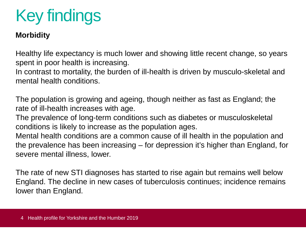# Key findings

#### **Morbidity**

Healthy life expectancy is much lower and showing little recent change, so years spent in poor health is increasing.

In contrast to mortality, the burden of ill-health is driven by musculo-skeletal and mental health conditions.

The population is growing and ageing, though neither as fast as England; the rate of ill-health increases with age.

The prevalence of long-term conditions such as diabetes or musculoskeletal conditions is likely to increase as the population ages.

Mental health conditions are a common cause of ill health in the population and the prevalence has been increasing – for depression it's higher than England, for severe mental illness, lower.

The rate of new STI diagnoses has started to rise again but remains well below England. The decline in new cases of tuberculosis continues; incidence remains lower than England.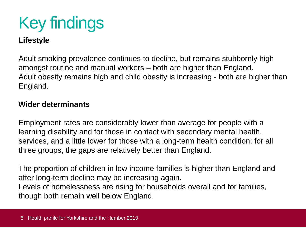# Key findings

#### **Lifestyle**

Adult smoking prevalence continues to decline, but remains stubbornly high amongst routine and manual workers – both are higher than England. Adult obesity remains high and child obesity is increasing - both are higher than England.

#### **Wider determinants**

Employment rates are considerably lower than average for people with a learning disability and for those in contact with secondary mental health. services, and a little lower for those with a long-term health condition; for all three groups, the gaps are relatively better than England.

The proportion of children in low income families is higher than England and after long-term decline may be increasing again. Levels of homelessness are rising for households overall and for families, though both remain well below England.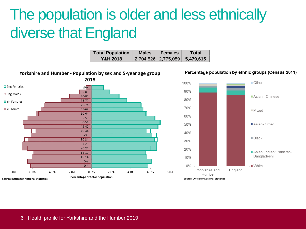# The population is older and less ethnically diverse that England

| <b>Total Population</b> | <b>Males</b> | Females | Total                         |
|-------------------------|--------------|---------|-------------------------------|
| <b>Y&amp;H 2018</b>     |              |         | 2,704,526 2,775,089 5,479,615 |

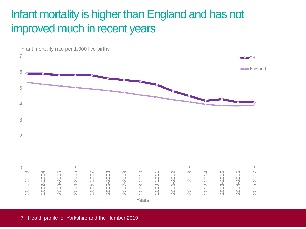## Infant mortality is higher than England and has not improved much in recent years

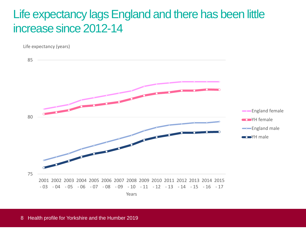### Life expectancy lags England and there has been little increase since 2012-14

Life expectancy (years)

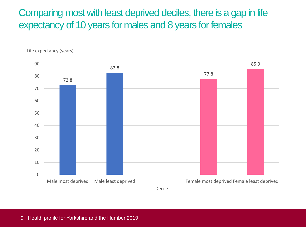Comparing most with least deprived deciles, there is a gap in life expectancy of 10 years for males and 8 years for females



Life expectancy (years)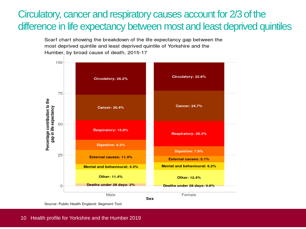### Circulatory, cancer and respiratory causes account for 2/3 of the difference in life expectancy between most and least deprived quintiles

Scarf chart showing the breakdown of the life expectancy gap between the most deprived quintile and least deprived quintile of Yorkshire and the Humber, by broad cause of death, 2015-17

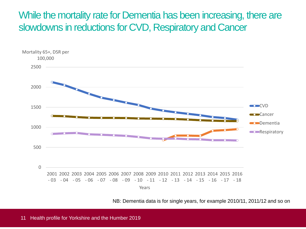### While the mortality rate for Dementia has been increasing, there are slowdowns in reductions for CVD, Respiratory and Cancer



NB: Dementia data is for single years, for example 2010/11, 2011/12 and so on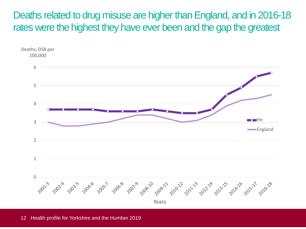Deaths related to drug misuse are higher than England, and in 2016-18 rates were the highest they have ever been and the gap the greatest

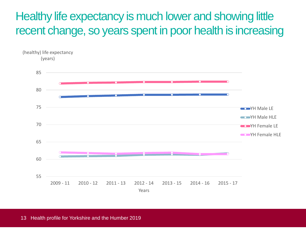Healthy life expectancy is much lower and showing little recent change, so years spent in poor health is increasing

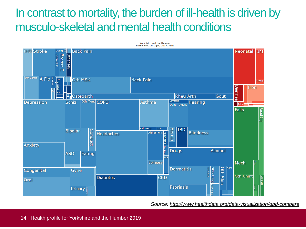# In contrast to mortality, the burden of ill-health is driven by musculo-skeletal and mental health conditions



*Source:<http://www.healthdata.org/data-visualization/gbd-compare>*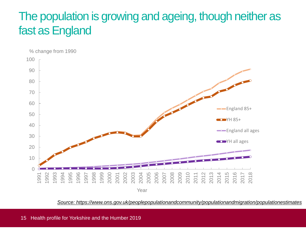### The population is growing and ageing, though neither as fast as England



*[Source: https://www.ons.gov.uk/peoplepopulationandcommunity/populationandmigration/populationestimates](https://www.ons.gov.uk/peoplepopulationandcommunity/populationandmigration/populationestimates)*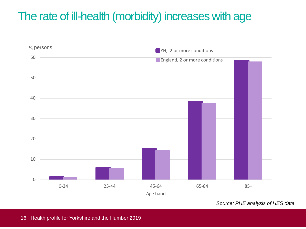# The rate of ill-health (morbidity) increases with age



*Source: PHE analysis of HES data*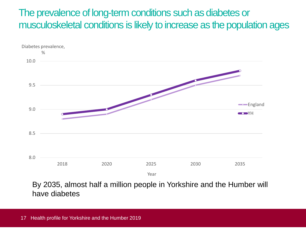### The prevalence of long-term conditions such as diabetes or musculoskeletal conditions is likely to increase as the population ages



By 2035, almost half a million people in Yorkshire and the Humber will have diabetes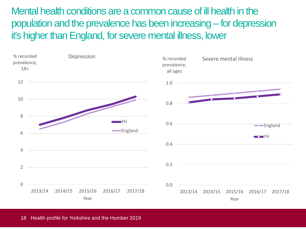Mental health conditions are a common cause of ill health in the population and the prevalence has been increasing – for depression it's higher than England, for severe mental illness, lower

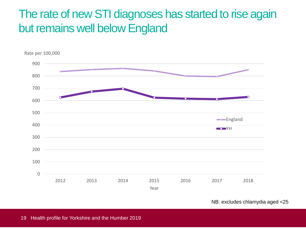### The rate of new STI diagnoses has started to rise again but remains well below England



NB: excludes chlamydia aged <25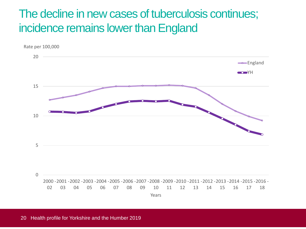### The decline in new cases of tuberculosis continues; incidence remains lower than England

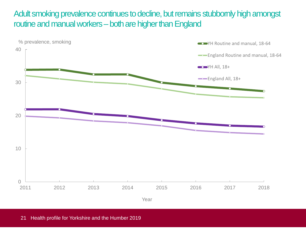Adult smoking prevalence continues to decline, but remains stubbornly high amongst routine and manual workers – both are higher than England

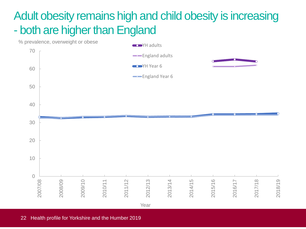# Adult obesity remains high and child obesity is increasing - both are higher than England

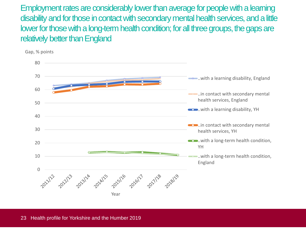Employment rates are considerably lower than average for people with a learning disability and for those in contact with secondary mental health services, and a little lower for those with a long-term health condition; for all three groups, the gaps are relatively better than England

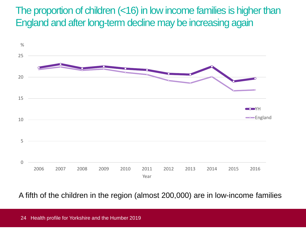The proportion of children (<16) in low income families is higher than England and after long-term decline may be increasing again



A fifth of the children in the region (almost 200,000) are in low-income families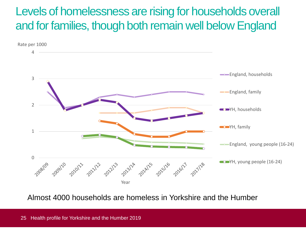### Levels of homelessness are rising for households overall and for families, though both remain well below England



Almost 4000 households are homeless in Yorkshire and the Humber